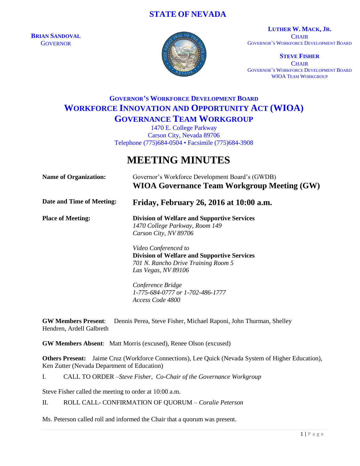# **STATE OF NEVADA**

**BRIAN SANDOVAL GOVERNOR** 



**LUTHER W. MACK, JR. CHAIR** GOVERNOR'S WORKFORCE DEVELOPMENT BOARD

**STEVE FISHER CHAIR** GOVERNOR'S WORKFORCE DEVELOPMENT BOARD WIOA TEAM WORKGROUP

# **GOVERNOR'S WORKFORCE DEVELOPMENT BOARD WORKFORCE INNOVATION AND OPPORTUNITY ACT (WIOA) GOVERNANCE TEAM WORKGROUP**

1470 E. College Parkway Carson City, Nevada 89706 Telephone (775)684-0504 • Facsimile (775)684-3908

# **MEETING MINUTES**

| <b>Name of Organization:</b> | Governor's Workforce Development Board's (GWDB)<br><b>WIOA Governance Team Workgroup Meeting (GW)</b>                                    |
|------------------------------|------------------------------------------------------------------------------------------------------------------------------------------|
| Date and Time of Meeting:    | Friday, February 26, 2016 at 10:00 a.m.                                                                                                  |
| <b>Place of Meeting:</b>     | <b>Division of Welfare and Supportive Services</b><br>1470 College Parkway, Room 149<br>Carson City, NV 89706                            |
|                              | Video Conferenced to<br><b>Division of Welfare and Supportive Services</b><br>701 N. Rancho Drive Training Room 5<br>Las Vegas, NV 89106 |
|                              | Conference Bridge<br>1-775-684-0777 or 1-702-486-1777<br>Access Code 4800                                                                |

**GW Members Present**: Dennis Perea, Steve Fisher, Michael Raponi, John Thurman, Shelley Hendren, Ardell Galbreth

**GW Members Absent**: Matt Morris (excused), Renee Olson (excused)

**Others Present:** Jaime Cruz (Workforce Connections), Lee Quick (Nevada System of Higher Education), Ken Zutter (Nevada Department of Education)

I. CALL TO ORDER –*Steve Fisher, Co-Chair of the Governance Workgroup*

Steve Fisher called the meeting to order at 10:00 a.m.

II. ROLL CALL- CONFIRMATION OF QUORUM – *Coralie Peterson*

Ms. Peterson called roll and informed the Chair that a quorum was present.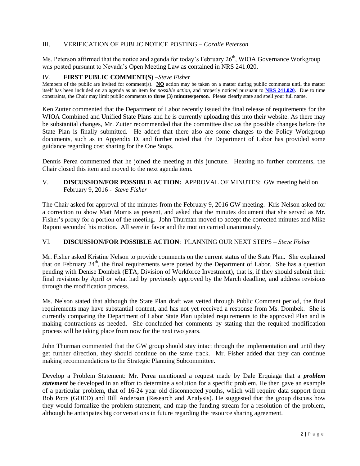# III. VERIFICATION OF PUBLIC NOTICE POSTING – *Coralie Peterson*

Ms. Peterson affirmed that the notice and agenda for today's February  $26<sup>th</sup>$ , WIOA Governance Workgroup was posted pursuant to Nevada's Open Meeting Law as contained in NRS 241.020.

#### IV. **FIRST PUBLIC COMMENT(S) –***Steve Fisher*

Members of the public are invited for comment(s). **NO** action may be taken on a matter during public comments until the matter itself has been included on an agenda as an item for *possible action*, and properly noticed pursuant to **[NRS 241.020](http://www.leg.state.nv.us/NRS/NRS-241.html#NRS241Sec020)**. Due to time constraints, the Chair may limit public comments to **three (3) minutes/person**. Please clearly state and spell your full name.

Ken Zutter commented that the Department of Labor recently issued the final release of requirements for the WIOA Combined and Unified State Plans and he is currently uploading this into their website. As there may be substantial changes, Mr. Zutter recommended that the committee discuss the possible changes before the State Plan is finally submitted. He added that there also are some changes to the Policy Workgroup documents, such as in Appendix D. and further noted that the Department of Labor has provided some guidance regarding cost sharing for the One Stops.

Dennis Perea commented that he joined the meeting at this juncture. Hearing no further comments, the Chair closed this item and moved to the next agenda item.

# V. **DISCUSSION/FOR POSSIBLE ACTION:** APPROVAL OF MINUTES: GW meeting held on February 9, 2016 - *Steve Fisher*

The Chair asked for approval of the minutes from the February 9, 2016 GW meeting. Kris Nelson asked for a correction to show Matt Morris as present, and asked that the minutes document that she served as Mr. Fisher's proxy for a portion of the meeting. John Thurman moved to accept the corrected minutes and Mike Raponi seconded his motion. All were in favor and the motion carried unanimously.

## VI. **DISCUSSION/FOR POSSIBLE ACTION**: PLANNING OUR NEXT STEPS – *Steve Fisher*

Mr. Fisher asked Kristine Nelson to provide comments on the current status of the State Plan. She explained that on February  $24<sup>th</sup>$ , the final requirements were posted by the Department of Labor. She has a question pending with Denise Dombek (ETA, Division of Workforce Investment), that is, if they should submit their final revisions by April *or* what had by previously approved by the March deadline, and address revisions through the modification process.

Ms. Nelson stated that although the State Plan draft was vetted through Public Comment period, the final requirements may have substantial content, and has not yet received a response from Ms. Dombek. She is currently comparing the Department of Labor State Plan updated requirements to the approved Plan and is making contractions as needed. She concluded her comments by stating that the required modification process will be taking place from now for the next two years.

John Thurman commented that the GW group should stay intact through the implementation and until they get further direction, they should continue on the same track. Mr. Fisher added that they can continue making recommendations to the Strategic Planning Subcommittee.

Develop a Problem Statement: Mr. Perea mentioned a request made by Dale Erquiaga that a *problem statement* be developed in an effort to determine a solution for a specific problem. He then gave an example of a particular problem, that of 16-24 year old disconnected youths, which will require data support from Bob Potts (GOED) and Bill Anderson (Research and Analysis). He suggested that the group discuss how they would formalize the problem statement, and map the funding stream for a resolution of the problem, although he anticipates big conversations in future regarding the resource sharing agreement.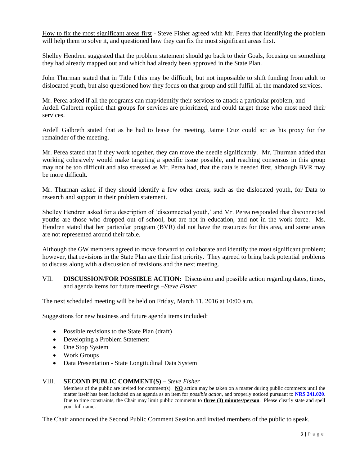How to fix the most significant areas first - Steve Fisher agreed with Mr. Perea that identifying the problem will help them to solve it, and questioned how they can fix the most significant areas first.

Shelley Hendren suggested that the problem statement should go back to their Goals, focusing on something they had already mapped out and which had already been approved in the State Plan.

John Thurman stated that in Title I this may be difficult, but not impossible to shift funding from adult to dislocated youth, but also questioned how they focus on that group and still fulfill all the mandated services.

Mr. Perea asked if all the programs can map/identify their services to attack a particular problem, and Ardell Galbreth replied that groups for services are prioritized, and could target those who most need their services.

Ardell Galbreth stated that as he had to leave the meeting, Jaime Cruz could act as his proxy for the remainder of the meeting.

Mr. Perea stated that if they work together, they can move the needle significantly. Mr. Thurman added that working cohesively would make targeting a specific issue possible, and reaching consensus in this group may not be too difficult and also stressed as Mr. Perea had, that the data is needed first, although BVR may be more difficult.

Mr. Thurman asked if they should identify a few other areas, such as the dislocated youth, for Data to research and support in their problem statement.

Shelley Hendren asked for a description of 'disconnected youth,' and Mr. Perea responded that disconnected youths are those who dropped out of school, but are not in education, and not in the work force. Ms. Hendren stated that her particular program (BVR) did not have the resources for this area, and some areas are not represented around their table.

Although the GW members agreed to move forward to collaborate and identify the most significant problem; however, that revisions in the State Plan are their first priority. They agreed to bring back potential problems to discuss along with a discussion of revisions and the next meeting.

VII. **DISCUSSION/FOR POSSIBLE ACTION:** Discussion and possible action regarding dates, times, and agenda items for future meetings –*Steve Fisher*

The next scheduled meeting will be held on Friday, March 11, 2016 at 10:00 a.m.

Suggestions for new business and future agenda items included:

- Possible revisions to the State Plan (draft)
- Developing a Problem Statement
- One Stop System
- Work Groups
- Data Presentation State Longitudinal Data System

#### VIII. **SECOND PUBLIC COMMENT(S) –** *Steve Fisher*

Members of the public are invited for comment(s). **NO** action may be taken on a matter during public comments until the matter itself has been included on an agenda as an item for *possible action*, and properly noticed pursuant to **[NRS 241.020](http://www.leg.state.nv.us/NRS/NRS-241.html#NRS241Sec020)**. Due to time constraints, the Chair may limit public comments to **three (3) minutes/person**. Please clearly state and spell your full name.

The Chair announced the Second Public Comment Session and invited members of the public to speak.